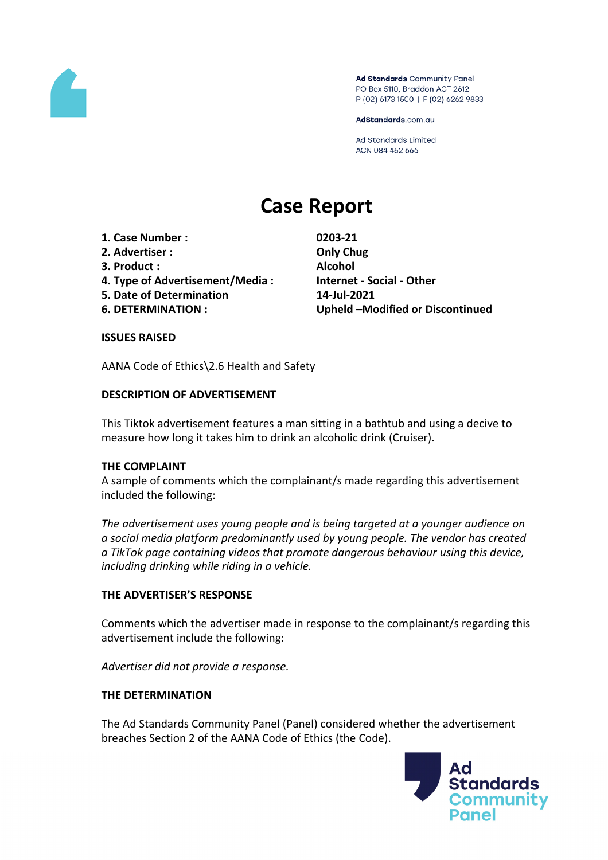

Ad Standards Community Panel PO Box 5110, Braddon ACT 2612 P (02) 6173 1500 | F (02) 6262 9833

AdStandards.com.au

**Ad Standards Limited** ACN 084 452 666

# **Case Report**

- **1. Case Number : 0203-21**
- **2. Advertiser : Only Chug**
- **3. Product : Alcohol**
- **4. Type of Advertisement/Media : Internet - Social - Other**
- **5. Date of Determination 14-Jul-2021**
- 

**6. DETERMINATION : Upheld –Modified or Discontinued**

## **ISSUES RAISED**

AANA Code of Ethics\2.6 Health and Safety

## **DESCRIPTION OF ADVERTISEMENT**

This Tiktok advertisement features a man sitting in a bathtub and using a decive to measure how long it takes him to drink an alcoholic drink (Cruiser).

## **THE COMPLAINT**

A sample of comments which the complainant/s made regarding this advertisement included the following:

*The advertisement uses young people and is being targeted at a younger audience on a social media platform predominantly used by young people. The vendor has created a TikTok page containing videos that promote dangerous behaviour using this device, including drinking while riding in a vehicle.*

## **THE ADVERTISER'S RESPONSE**

Comments which the advertiser made in response to the complainant/s regarding this advertisement include the following:

*Advertiser did not provide a response.*

## **THE DETERMINATION**

The Ad Standards Community Panel (Panel) considered whether the advertisement breaches Section 2 of the AANA Code of Ethics (the Code).

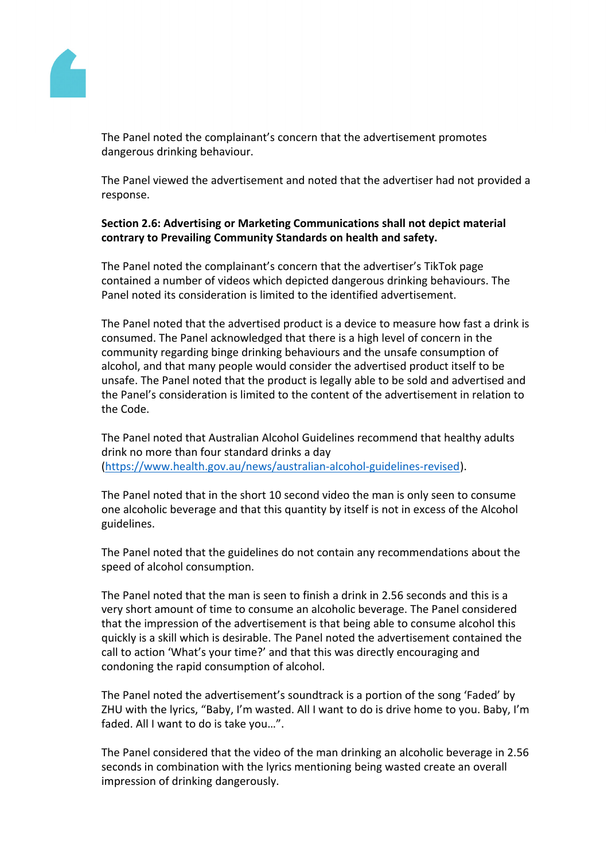ThePanel noted the complainant's concernthat the advertise mentromotes dangerous drinkingehaviour.

ThePanel viewed theadvertisement andnoted that theadvertiser had notprovideda response.

Section 2.6: Advertising r Marketing Communicationshallnot depict material contrary to Prevailing Communit Standards on healt and safety.

ThePanel noted thecomplainant'sconcernthat the advertiser'sTikTokpage contained a number of ideos which depicted dangerous in king behaviours. The Panelnoted itsconsiderationislimited to the identifiedadvertisement.

ThePanel noted that the advertised product is a device measure how fast a drinks consumed.The Paneacknowledged that there is a high level of concern in the community regarding binge drinking behaviours and uneafeconsumption of alcohol, and hat many people would considerne advertised product itselfto be unsafe.The Pane hoted that the product is legally able to be sold and advertised and the Panel'sconsideration is limited tothe content of theadvertisementin relation to the Code.

ThePanel noted that Australian Alcoholuidelines recommend thatealthy adults drink no morethan four standard drinks day [\(https://www.health.gov.au/news/australian-alcohol-guidelines-revi](https://www.health.gov.au/news/australian-alcohol-guidelines-revised)sed ).

ThePanel noted that inthe short 10 second viderthe manisonly seen to consume one alcoholideverageand that thisquantity by itself is not in excess of the Alcohol guidelines.

ThePanel noted that the uidelines do not containany recommendations bout the speedof alcoholconsumption.

ThePanel noted that theman is seen to finish drinkin 2.56 second sand this is a very shortamount oftime to consume analcoholic beverage.ThePanelconsidered that the impression the advertisement is that being able to consume alcohothis quickly is askill which isdesirable. The Pane hoted the advertisement containe the call toaction 'What'syour time?'and thatthis was directly encouraging and condoningthe rapidconsumptionof alcohol.

ThePanel noted theadvertisement's sound track is a portion of the song'Faded'by ZHU withthe lyrics, "Baby, I'm wasted. All I wanto do is drive hometo you. Babyl'm faded. AllI wantto do istake you…".

ThePanel considered that the vident the man drinking alcoholic beverage 2.56 seconds in combination with the lyrics mentionibeing wastedcreate anoverall impression of drinkingdangerously.